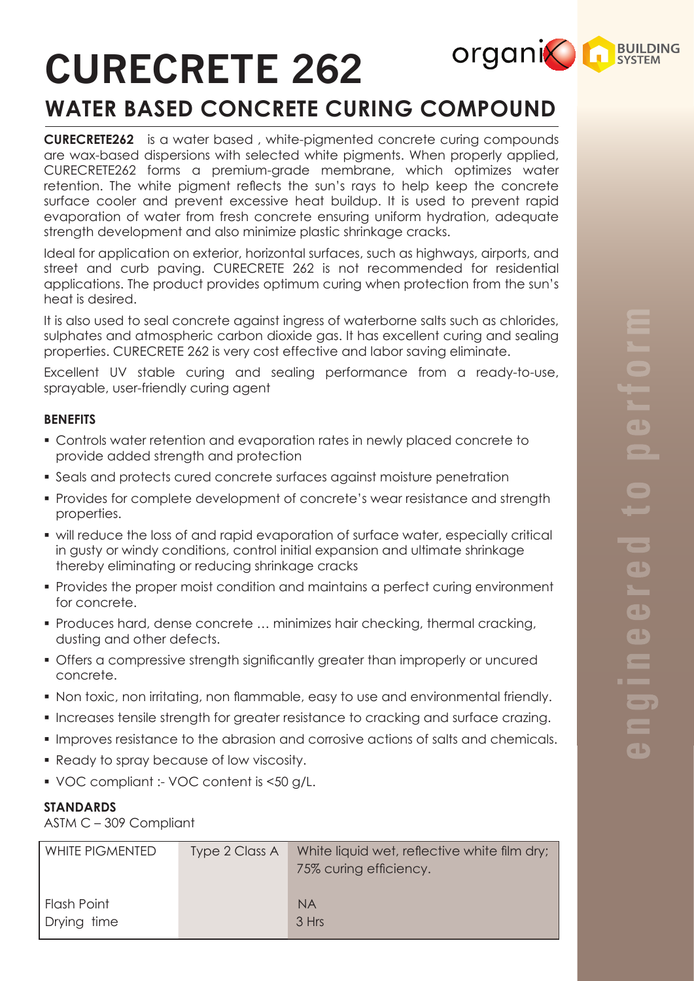# **CURECRETE 262**

# **WATER BASED CONCRETE CURING COMPOUND**

**CURECRETE262** is a water based , white-pigmented concrete curing compounds are wax-based dispersions with selected white pigments. When properly applied, CURECRETE262 forms a premium-grade membrane, which optimizes water retention. The white pigment reflects the sun's rays to help keep the concrete surface cooler and prevent excessive heat buildup. It is used to prevent rapid evaporation of water from fresh concrete ensuring uniform hydration, adequate strength development and also minimize plastic shrinkage cracks.

Ideal for application on exterior, horizontal surfaces, such as highways, airports, and street and curb paving. CURECRETE 262 is not recommended for residential applications. The product provides optimum curing when protection from the sun's heat is desired.

It is also used to seal concrete against ingress of waterborne salts such as chlorides, sulphates and atmospheric carbon dioxide gas. It has excellent curing and sealing properties. CURECRETE 262 is very cost effective and labor saving eliminate.

Excellent UV stable curing and sealing performance from a ready-to-use, sprayable, user-friendly curing agent

# **BENEFITS**

- § Controls water retention and evaporation rates in newly placed concrete to provide added strength and protection
- § Seals and protects cured concrete surfaces against moisture penetration
- Provides for complete development of concrete's wear resistance and strength properties.
- will reduce the loss of and rapid evaporation of surface water, especially critical in gusty or windy conditions, control initial expansion and ultimate shrinkage thereby eliminating or reducing shrinkage cracks
- § Provides the proper moist condition and maintains a perfect curing environment for concrete.
- § Produces hard, dense concrete … minimizes hair checking, thermal cracking, dusting and other defects.
- § Offers a compressive strength significantly greater than improperly or uncured concrete.
- § Non toxic, non irritating, non flammable, easy to use and environmental friendly.
- § Increases tensile strength for greater resistance to cracking and surface crazing.
- Improves resistance to the abrasion and corrosive actions of salts and chemicals.
- Ready to spray because of low viscosity.
- VOC compliant :- VOC content is <50 g/L.

# **STANDARDS**

ASTM C – 309 Compliant

| <b>WHITE PIGMENTED</b>     | Type 2 Class A | White liquid wet, reflective white film dry;<br>75% curing efficiency. |
|----------------------------|----------------|------------------------------------------------------------------------|
| Flash Point<br>Drying time |                | <b>NA</b><br>3 Hrs                                                     |